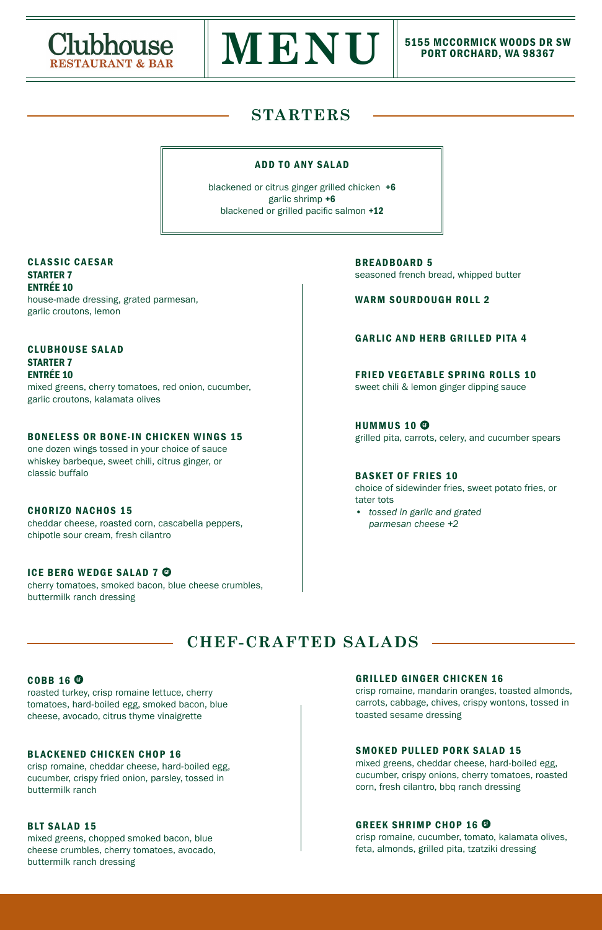## **STARTERS**





# PORT ORCHARD, WA 98367

BREADBOARD 5 seasoned french bread, whipped butter

WARM SOURDOUGH ROLL 2

## GARLIC AND HERB GRILLED PITA 4

FRIED VEGETABLE SPRING ROLLS 10

sweet chili & lemon ginger dipping sauce

HUMMUS 10 grilled pita, carrots, celery, and cucumber spears

#### BASKET OF FRIES 10

choice of sidewinder fries, sweet potato fries, or tater tots

*• tossed in garlic and grated parmesan cheese +2* 

CLASSIC CAESAR STARTER 7 ENTRÉE 10 house-made dressing, grated parmesan, garlic croutons, lemon

CLUBHOUSE SALAD STARTER 7 ENTRÉE 10 mixed greens, cherry tomatoes, red onion, cucumber, garlic croutons, kalamata olives

#### BONELESS OR BONE-IN CHICKEN WINGS 15

one dozen wings tossed in your choice of sauce whiskey barbeque, sweet chili, citrus ginger, or classic buffalo

#### CHORIZO NACHOS 15

cheddar cheese, roasted corn, cascabella peppers, chipotle sour cream, fresh cilantro

#### ICE BERG WEDGE SALAD 7 <sup>®</sup>

cherry tomatoes, smoked bacon, blue cheese crumbles, buttermilk ranch dressing

## ADD TO ANY SALAD

blackened or citrus ginger grilled chicken +6 garlic shrimp +6 blackened or grilled pacific salmon  $+12$ 

roasted turkey, crisp romaine lettuce, cherry tomatoes, hard-boiled egg, smoked bacon, blue cheese, avocado, citrus thyme vinaigrette

## BLACKENED CHICKEN CHOP 16

crisp romaine, cheddar cheese, hard-boiled egg, cucumber, crispy fried onion, parsley, tossed in buttermilk ranch

#### BLT SALAD 15

mixed greens, chopped smoked bacon, blue cheese crumbles, cherry tomatoes, avocado, buttermilk ranch dressing

crisp romaine, mandarin oranges, toasted almonds, carrots, cabbage, chives, crispy wontons, tossed in toasted sesame dressing

## SMOKED PULLED PORK SALAD 15

mixed greens, cheddar cheese, hard-boiled egg, cucumber, crispy onions, cherry tomatoes, roasted corn, fresh cilantro, bbq ranch dressing

## GREEK SHRIMP CHOP 16  $\bullet$

crisp romaine, cucumber, tomato, kalamata olives, feta, almonds, grilled pita, tzatziki dressing

## **CHEF-CRAFTED SALADS**